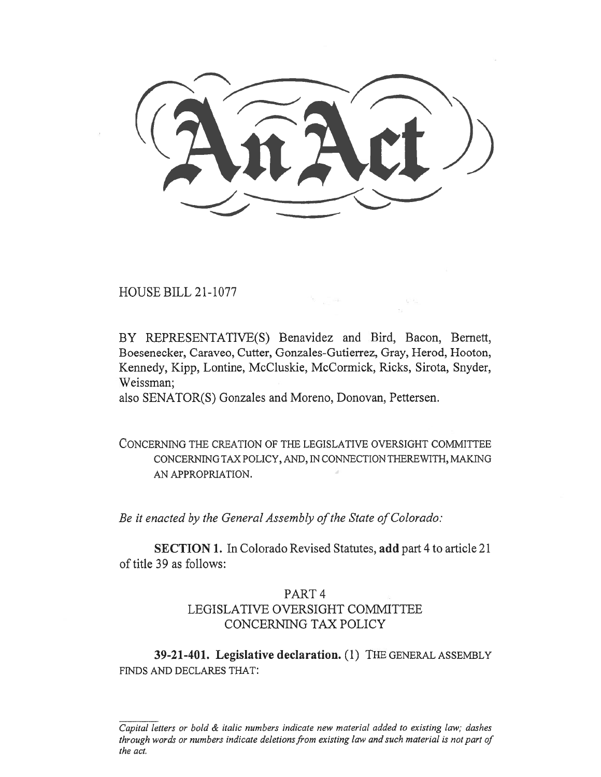HOUSE BILL 21-1077

BY REPRESENTATIVE(S) Benavidez and Bird, Bacon, Bernett, Boesenecker, Caraveo, Cutter, Gonzales-Gutierrez, Gray, Herod, Hooton, Kennedy, Kipp, Lontine, McCluskie, McCormick, Ricks, Sirota, Snyder, Weissman;

 $\alpha = \frac{1}{\alpha}$ 

also SENATOR(S) Gonzales and Moreno, Donovan, Pettersen.

CONCERNING THE CREATION OF THE LEGISLATIVE OVERSIGHT COMMITTEE CONCERNING TAX POLICY, AND, IN CONNECTION THEREWITH, MAKING AN APPROPRIATION.

Be it enacted by the General Assembly of the State of Colorado:

SECTION 1. In Colorado Revised Statutes, add part 4 to article 21 of title 39 as follows:

## PART 4 LEGISLATIVE OVERSIGHT COMMITTEE CONCERNING TAX POLICY

39-21-401. Legislative declaration. (1) THE GENERAL ASSEMBLY FINDS AND DECLARES THAT:

Capital letters or bold & italic numbers indicate new material added to existing law; dashes through words or numbers indicate deletions from existing law and such material is not part of the act.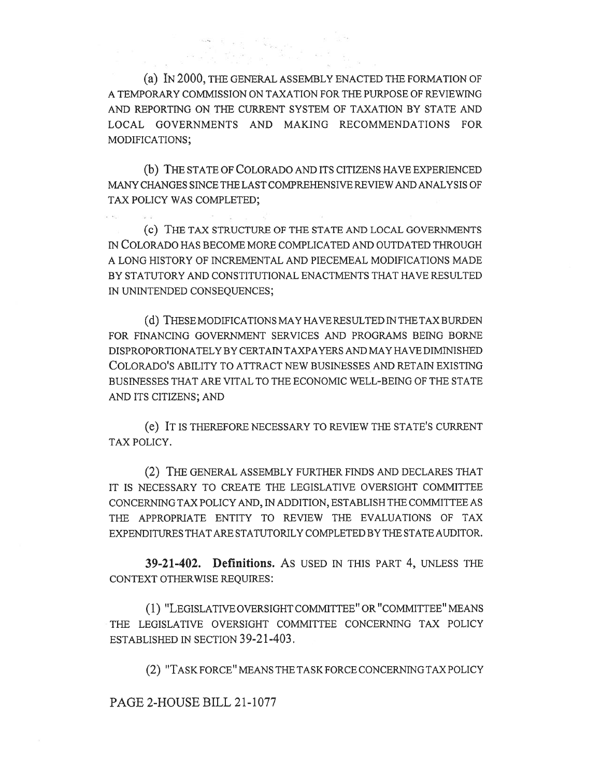(a) IN 2000, THE GENERAL ASSEMBLY ENACTED THE FORMATION OF A TEMPORARY COMMISSION ON TAXATION FOR THE PURPOSE OF REVIEWING AND REPORTING ON THE CURRENT SYSTEM OF TAXATION BY STATE AND LOCAL GOVERNMENTS AND MAKING RECOMMENDATIONS FOR MODIFICATIONS;

(b) THE STATE OF COLORADO AND ITS CITIZENS HAVE EXPERIENCED MANY CHANGES SINCE THE LAST COMPREHENSIVE REVIEW AND ANALYSIS OF TAX POLICY WAS COMPLETED;

(c) THE TAX STRUCTURE OF THE STATE AND LOCAL GOVERNMENTS IN COLORADO HAS BECOME MORE COMPLICATED AND OUTDATED THROUGH A LONG HISTORY OF INCREMENTAL AND PIECEMEAL MODIFICATIONS MADE BY STATUTORY AND CONSTITUTIONAL ENACTMENTS THAT HAVE RESULTED IN UNINTENDED CONSEQUENCES;

(d) THESE MODIFICATIONS MAY HAVE RESULTED IN THE TAX BURDEN FOR FINANCING GOVERNMENT SERVICES AND PROGRAMS BEING BORNE DISPROPORTIONATELY BY CERTAIN TAXPAYERS AND MAY HAVE DIMINISHED COLORADO'S ABILITY TO ATTRACT NEW BUSINESSES AND RETAIN EXISTING BUSINESSES THAT ARE VITAL TO THE ECONOMIC WELL-BEING OF THE STATE AND ITS CITIZENS; AND

(e) IT IS THEREFORE NECESSARY TO REVIEW THE STATE'S CURRENT TAX POLICY.

(2) THE GENERAL ASSEMBLY FURTHER FINDS AND DECLARES THAT IT IS NECESSARY TO CREATE THE LEGISLATIVE OVERSIGHT COMMITTEE CONCERNING TAX POLICY AND, IN ADDITION, ESTABLISH THE COMMITTEE AS THE APPROPRIATE ENTITY TO REVIEW THE EVALUATIONS OF TAX EXPENDITURES THAT ARE STATUTORILY COMPLETED BY THE STATE AUDITOR.

39-21-402. Definitions. AS USED IN THIS PART 4, UNLESS THE CONTEXT OTHERWISE REQUIRES:

(1) "LEGISLATIVE OVERSIGHT COMMITTEE" OR "COMMITTEE" MEANS THE LEGISLATIVE OVERSIGHT COMMITTEE CONCERNING TAX POLICY ESTABLISHED IN SECTION 39-21-403.

(2) "TASK FORCE" MEANS THE TASK FORCE CONCERNING TAX POLICY

PAGE 2-HOUSE BILL 21-1077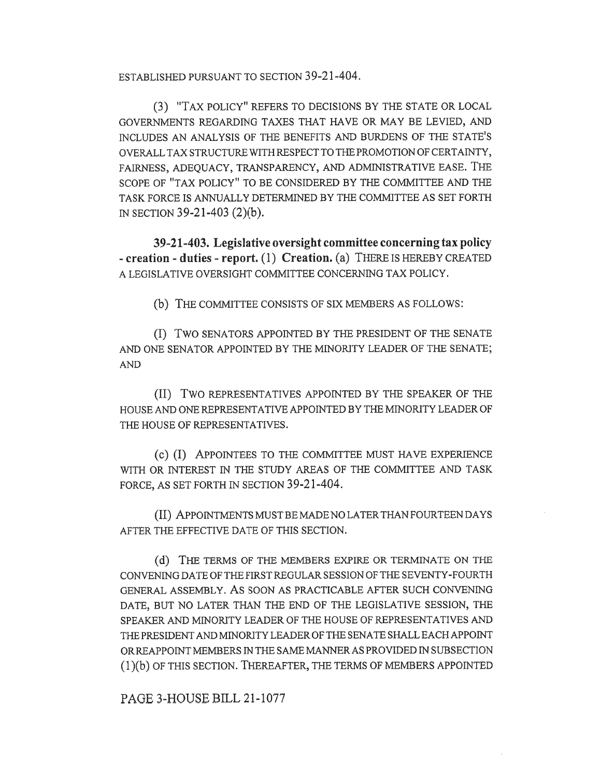ESTABLISHED PURSUANT TO SECTION 39-21-404.

(3) "TAX POLICY" REFERS TO DECISIONS BY THE STATE OR LOCAL GOVERNMENTS REGARDING TAXES THAT HAVE OR MAY BE LEVIED, AND INCLUDES AN ANALYSIS OF THE BENEFITS AND BURDENS OF THE STATE'S OVERALL TAX STRUCTURE WITH RESPECT TO THE PROMOTION OF CERTAINTY, FAIRNESS, ADEQUACY, TRANSPARENCY, AND ADMINISTRATIVE EASE. THE SCOPE OF "TAX POLICY" TO BE CONSIDERED BY THE COMMITTEE AND THE TASK FORCE IS ANNUALLY DETERMINED BY THE COMMITTEE AS SET FORTH IN SECTION 39-21-403 (2)(b).

39-21-403. Legislative oversight committee concerning tax policy - creation - duties - report. (1) Creation. (a) THERE IS HEREBY CREATED A LEGISLATIVE OVERSIGHT COMMITTEE CONCERNING TAX POLICY.

(b) THE COMMITTEE CONSISTS OF SIX MEMBERS AS FOLLOWS:

(I) Two SENATORS APPOINTED BY THE PRESIDENT OF THE SENATE AND ONE SENATOR APPOINTED BY THE MINORITY LEADER OF THE SENATE; AND

(II) Two REPRESENTATIVES APPOINTED BY THE SPEAKER OF THE HOUSE AND ONE REPRESENTATIVE APPOINTED BY THE MINORITY LEADER OF THE HOUSE OF REPRESENTATIVES.

(c) (I) APPOINTEES TO THE COMMITTEE MUST HAVE EXPERIENCE WITH OR INTEREST IN THE STUDY AREAS OF THE COMMITTEE AND TASK FORCE, AS SET FORTH IN SECTION 39-21-404.

(II) APPOINTMENTS MUST BE MADE NO LATER THAN FOURTEEN DAYS AFTER THE EFFECTIVE DATE OF THIS SECTION.

(d) THE TERMS OF THE MEMBERS EXPIRE OR TERMINATE ON THE CONVENING DATE OF THE FIRST REGULAR SESSION OF THE SEVENTY-FOURTH GENERAL ASSEMBLY. AS SOON AS PRACTICABLE AFTER SUCH CONVENING DATE, BUT NO LATER THAN THE END OF THE LEGISLATIVE SESSION, THE SPEAKER AND MINORITY LEADER OF THE HOUSE OF REPRESENTATIVES AND THE PRESIDENT AND MINORITY LEADER OF THE SENATE SHALL EACH APPOINT OR REAPPOINT MEMBERS IN THE SAME MANNER AS PROVIDED IN SUBSECTION (1)(b) OF THIS SECTION. THEREAFTER, THE TERMS OF MEMBERS APPOINTED

PAGE 3-HOUSE BILL 21-1077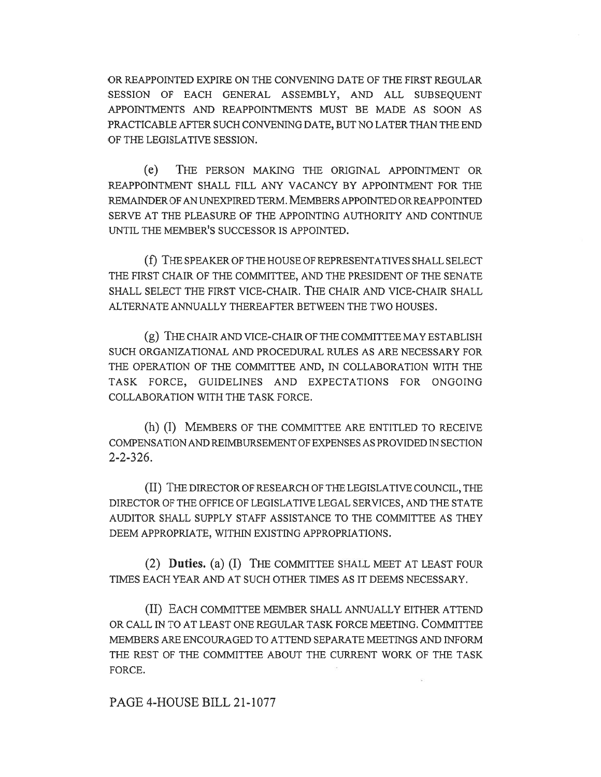OR REAPPOINTED EXPIRE ON THE CONVENING DATE OF THE FIRST REGULAR SESSION OF EACH GENERAL ASSEMBLY, AND ALL SUBSEQUENT APPOINTMENTS AND REAPPOINTMENTS MUST BE MADE AS SOON AS PRACTICABLE AFTER SUCH CONVENING DATE, BUT NO LATER THAN THE END OF THE LEGISLATIVE SESSION.

(e) THE PERSON MAKING THE ORIGINAL APPOINTMENT OR REAPPOINTMENT SHALL FILL ANY VACANCY BY APPOINTMENT FOR THE REMAINDER OF AN UNEXPIRED TERM. MEMBERS APPOINTED OR REAPPOINTED SERVE AT THE PLEASURE OF THE APPOINTING AUTHORITY AND CONTINUE UNTIL THE MEMBER'S SUCCESSOR IS APPOINTED.

(f) THE SPEAKER OF THE HOUSE OF REPRESENTATIVES SHALL SELECT THE FIRST CHAIR OF THE COMMITTEE, AND THE PRESIDENT OF THE SENATE SHALL SELECT THE FIRST VICE-CHAIR. THE CHAIR AND VICE-CHAIR SHALL ALTERNATE ANNUALLY THEREAFTER BETWEEN THE TWO HOUSES.

(g) THE CHAIR AND VICE-CHAIR OF THE COMMITTEE MAY ESTABLISH SUCH ORGANIZATIONAL AND PROCEDURAL RULES AS ARE NECESSARY FOR THE OPERATION OF THE COMMITTEE AND, IN COLLABORATION WITH THE TASK FORCE, GUIDELINES AND EXPECTATIONS FOR ONGOING COLLABORATION WITH THE TASK FORCE.

(h) (I) MEMBERS OF THE COMMITTEE ARE ENTITLED TO RECEIVE COMPENSATION AND REIMBURSEMENT OF EXPENSES AS PROVIDED IN SECTION 2-2-326.

(II) THE DIRECTOR OF RESEARCH OF THE LEGISLATIVE COUNCIL, THE DIRECTOR OF THE OFFICE OF LEGISLATIVE LEGAL SERVICES, AND THE STATE AUDITOR SHALL SUPPLY STAFF ASSISTANCE TO THE COMMITTEE AS THEY DEEM APPROPRIATE, WITHIN EXISTING APPROPRIATIONS.

(2) Duties. (a) (I) THE COMMITTEE SHALL MEET AT LEAST FOUR TIMES EACH YEAR AND AT SUCH OTHER TIMES AS IT DEEMS NECESSARY.

(II) EACH COMMITTEE MEMBER SHALL ANNUALLY EITHER ATTEND OR CALL IN TO AT LEAST ONE REGULAR TASK FORCE MEETING. COMMITTEE MEMBERS ARE ENCOURAGED TO ATTEND SEPARATE MEETINGS AND INFORM THE REST OF THE COMMITTEE ABOUT THE CURRENT WORK OF THE TASK FORCE.

PAGE 4-HOUSE BILL 21-1077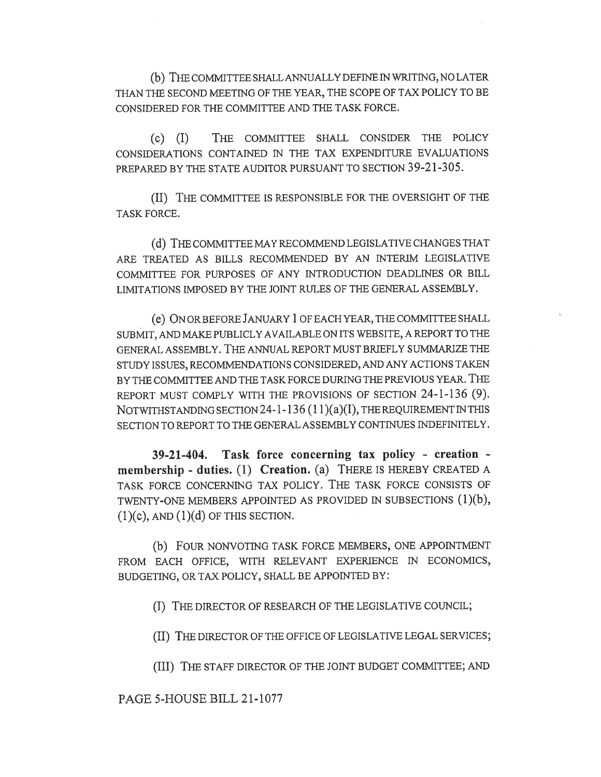(b) THE COMMITTEE SHALL ANNUALLY DEFINE IN WRITING, NO LATER THAN THE SECOND MEETING OF THE YEAR, THE SCOPE OF TAX POLICY TO BE CONSIDERED FOR THE COMMITTEE AND THE TASK FORCE.

(c) (I) THE COMMITTEE SHALL CONSIDER THE POLICY CONSIDERATIONS CONTAINED IN THE TAX EXPENDITURE EVALUATIONS PREPARED BY THE STATE AUDITOR PURSUANT TO SECTION 39-21-305.

(II) THE COMMITTEE IS RESPONSIBLE FOR THE OVERSIGHT OF THE TASK FORCE.

(d) THE COMMITTEE MAY RECOMMEND LEGISLATIVE CHANGES THAT ARE TREATED AS BILLS RECOMMENDED BY AN INTERIM LEGISLATIVE COMMITTEE FOR PURPOSES OF ANY INTRODUCTION DEADLINES OR BILL LIMITATIONS IMPOSED BY THE JOINT RULES OF THE GENERAL ASSEMBLY.

(e) ON OR BEFORE JANUARY 1 OF EACH YEAR, THE COMMITTEE SHALL SUBMIT, AND MAKE PUBLICLY AVAILABLE ON ITS WEBSITE, A REPORT TO THE GENERAL ASSEMBLY. THE ANNUAL REPORT MUST BRIEFLY SUMMARIZE THE STUDY ISSUES, RECOMMENDATIONS CONSIDERED, AND ANY ACTIONS TAKEN BY THE COMMITTEE AND THE TASK FORCE DURING THE PREVIOUS YEAR. THE REPORT MUST COMPLY WITH THE PROVISIONS OF SECTION 24-1-136 (9). NOTWITHSTANDING SECTION 24-1-136 (11)(a)(I), THE REQUIREMENT IN THIS SECTION TO REPORT TO THE GENERAL ASSEMBLY CONTINUES INDEFINITELY.

39-21-404. Task force concerning tax policy - creation membership - duties. (1) Creation. (a) THERE IS HEREBY CREATED A TASK FORCE CONCERNING TAX POLICY. THE TASK FORCE CONSISTS OF TWENTY-ONE MEMBERS APPOINTED AS PROVIDED IN SUBSECTIONS (1)(b),  $(1)(c)$ , AND  $(1)(d)$  OF THIS SECTION.

(b) FOUR NONVOTING TASK FORCE MEMBERS, ONE APPOINTMENT FROM EACH OFFICE, WITH RELEVANT EXPERIENCE IN ECONOMICS, BUDGETING, OR TAX POLICY, SHALL BE APPOINTED BY:

(I) THE DIRECTOR OF RESEARCH OF THE LEGISLATIVE COUNCIL;

(II) THE DIRECTOR OF THE OFFICE OF LEGISLATIVE LEGAL SERVICES;

(III) THE STAFF DIRECTOR OF THE JOINT BUDGET COMMITTEE; AND

PAGE 5-HOUSE BILL 21-1077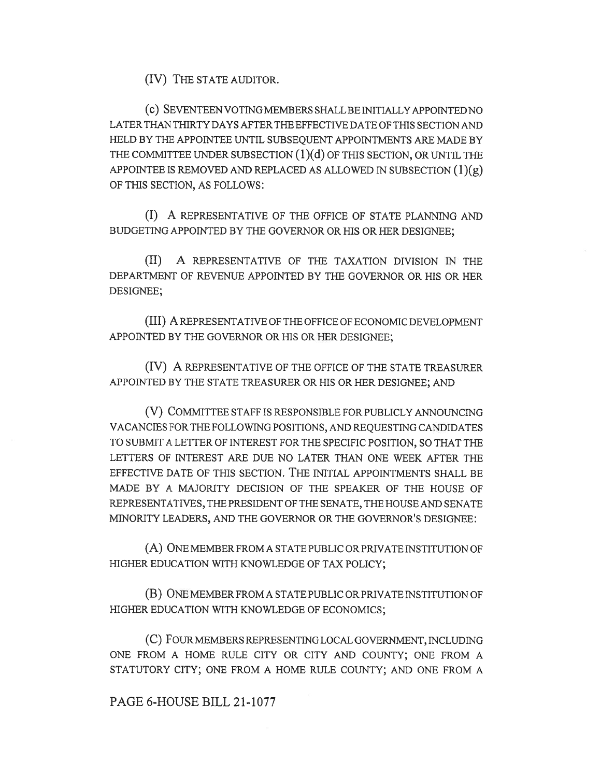(IV) THE STATE AUDITOR.

(c) SEVENTEEN VOTING MEMBERS SHALL BE INITIALLY APPOINTED NO LATER THAN THIRTY DAYS AFTER THE EFFECTIVE DATE OF THIS SECTION AND HELD BY THE APPOINTEE UNTIL SUBSEQUENT APPOINTMENTS ARE MADE BY THE COMMITTEE UNDER SUBSECTION  $(1)(d)$  OF THIS SECTION, OR UNTIL THE APPOINTEE IS REMOVED AND REPLACED AS ALLOWED IN SUBSECTION  $(1)(g)$ OF THIS SECTION, AS FOLLOWS:

(I) A REPRESENTATIVE OF THE OFFICE OF STATE PLANNING AND BUDGETING APPOINTED BY THE GOVERNOR OR HIS OR HER DESIGNEE;

(II) A REPRESENTATIVE OF THE TAXATION DIVISION IN THE DEPARTMENT OF REVENUE APPOINTED BY THE GOVERNOR OR HIS OR HER DESIGNEE;

(III) A REPRESENTATIVE OF THE OFFICE OF ECONOMIC DEVELOPMENT APPOINTED BY THE GOVERNOR OR HIS OR HER DESIGNEE;

(IV) A REPRESENTATIVE OF THE OFFICE OF THE STATE TREASURER APPOINTED BY THE STATE TREASURER OR HIS OR HER DESIGNEE; AND

(V) COMMITTEE STAFF IS RESPONSIBLE FOR PUBLICLY ANNOUNCING VACANCIES FOR THE FOLLOWING POSITIONS, AND REQUESTING CANDIDATES TO SUBMIT A LETTER OF INTEREST FOR THE SPECIFIC POSITION, SO THAT THE LETTERS OF INTEREST ARE DUE NO LATER THAN ONE WEEK AFTER THE EFFECTIVE DATE OF THIS SECTION. THE INITIAL APPOINTMENTS SHALL BE MADE BY A MAJORITY DECISION OF THE SPEAKER OF THE HOUSE OF REPRESENTATIVES, THE PRESIDENT OF THE SENATE, THE HOUSE AND SENATE MINORITY LEADERS, AND THE GOVERNOR OR THE GOVERNOR'S DESIGNEE:

(A) ONE MEMBER FROM A STATE PUBLIC OR PRIVATE INSTITUTION OF HIGHER EDUCATION WITH KNOWLEDGE OF TAX POLICY;

(B) ONE MEMBER FROM A STATE PUBLIC OR PRIVATE INSTITUTION OF HIGHER EDUCATION WITH KNOWLEDGE OF ECONOMICS;

(C) FOUR MEMBERS REPRESENTING LOCAL GOVERNMENT, INCLUDING ONE FROM A HOME RULE CITY OR CITY AND COUNTY; ONE FROM A STATUTORY CITY; ONE FROM A HOME RULE COUNTY; AND ONE FROM A

## PAGE 6-HOUSE BILL 21-1077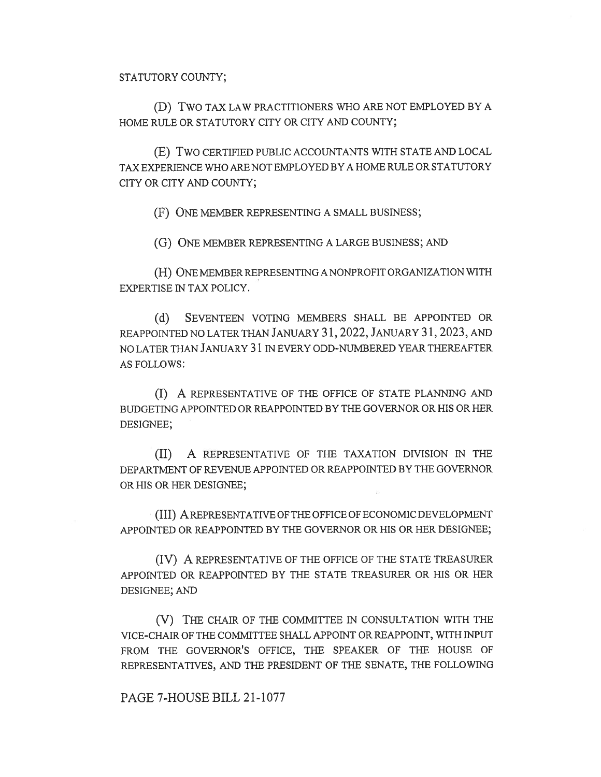(D) Two TAX LAW PRACTITIONERS WHO ARE NOT EMPLOYED BY A HOME RULE OR STATUTORY CITY OR CITY AND COUNTY;

(E) Two CERTIFIED PUBLIC ACCOUNTANTS WITH STATE AND LOCAL TAX EXPERIENCE WHO ARE NOT EMPLOYED BY A HOME RULE OR STATUTORY CITY OR CITY AND COUNTY;

(F) ONE MEMBER REPRESENTING A SMALL BUSINESS;

(G) ONE MEMBER REPRESENTING A LARGE BUSINESS; AND

(H) ONE MEMBER REPRESENTING A NONPROFIT ORGANIZATION WITH EXPERTISE IN TAX POLICY.

(d) SEVENTEEN VOTING MEMBERS SHALL BE APPOINTED OR REAPPOINTED NO LATER THAN JANUARY 31, 2022, JANUARY 31, 2023, AND NO LATER THAN JANUARY 31 IN EVERY ODD-NUMBERED YEAR THEREAFTER AS FOLLOWS:

(I) A REPRESENTATIVE OF THE OFFICE OF STATE PLANNING AND BUDGETING APPOINTED OR REAPPOINTED BY THE GOVERNOR OR HIS OR HER DESIGNEE;

(II) A REPRESENTATIVE OF THE TAXATION DIVISION IN THE DEPARTMENT OF REVENUE APPOINTED OR REAPPOINTED BY THE GOVERNOR OR HIS OR HER DESIGNEE;

(III) A REPRESENTATIVE OF THE OFFICE OF ECONOMIC DEVELOPMENT APPOINTED OR REAPPOINTED BY THE GOVERNOR OR HIS OR HER DESIGNEE;

(IV) A REPRESENTATIVE OF THE OFFICE OF THE STATE TREASURER APPOINTED OR REAPPOINTED BY THE STATE TREASURER OR HIS OR HER DESIGNEE; AND

(V) THE CHAIR OF THE COMMITTEE IN CONSULTATION WITH THE VICE-CHAIR OF THE COMMITTEE SHALL APPOINT OR REAPPOINT, WITH INPUT FROM THE GOVERNOR'S OFFICE, THE SPEAKER OF THE HOUSE OF REPRESENTATIVES, AND THE PRESIDENT OF THE SENATE, THE FOLLOWING

PAGE 7-HOUSE BILL 21-1077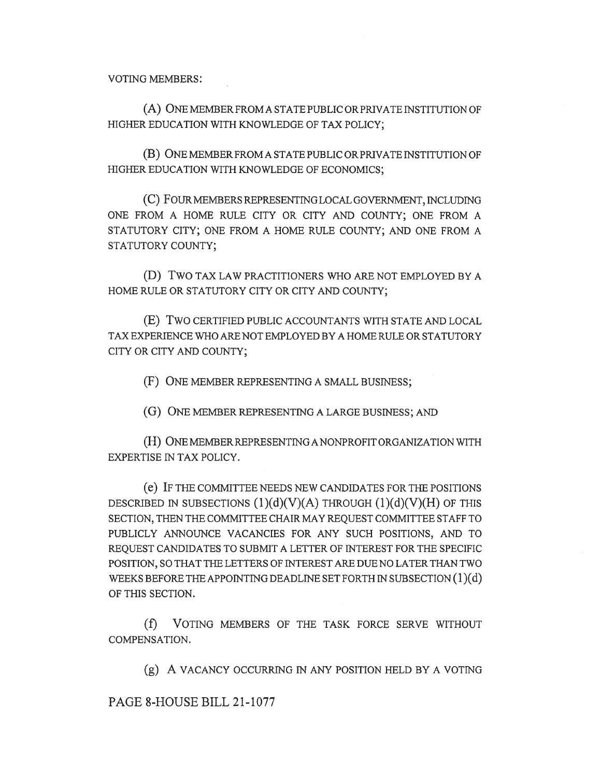VOTING MEMBERS:

(A) ONE MEMBER FROM A STATE PUBLIC OR PRIVATE INSTITUTION OF HIGHER EDUCATION WITH KNOWLEDGE OF TAX POLICY;

(B) ONE MEMBER FROM A STATE PUBLIC OR PRIVATE INSTITUTION OF HIGHER EDUCATION WITH KNOWLEDGE OF ECONOMICS;

(C) FOUR MEMBERS REPRESENTING LOCAL GOVERNMENT, INCLUDING ONE FROM A HOME RULE CITY OR CITY AND COUNTY; ONE FROM A STATUTORY CITY; ONE FROM A HOME RULE COUNTY; AND ONE FROM A STATUTORY COUNTY;

(D) Two TAX LAW PRACTITIONERS WHO ARE NOT EMPLOYED BY A HOME RULE OR STATUTORY CITY OR CITY AND COUNTY;

(E) Two CERTIFIED PUBLIC ACCOUNTANTS WITH STATE AND LOCAL TAX EXPERIENCE WHO ARE NOT EMPLOYED BY A HOME RULE OR STATUTORY CITY OR CITY AND COUNTY;

(F) ONE MEMBER REPRESENTING A SMALL BUSINESS;

(G) ONE MEMBER REPRESENTING A LARGE BUSINESS; AND

(H) ONE MEMBER REPRESENTING A NONPROFIT ORGANIZATION WITH EXPERTISE IN TAX POLICY.

(e) IF THE COMMITTEE NEEDS NEW CANDIDATES FOR THE POSITIONS DESCRIBED IN SUBSECTIONS  $(1)(d)(V)(A)$  THROUGH  $(1)(d)(V)(H)$  OF THIS SECTION, THEN THE COMMITTEE CHAIR MAY REQUEST COMMITTEE STAFF TO PUBLICLY ANNOUNCE VACANCIES FOR ANY SUCH POSITIONS, AND TO REQUEST CANDIDATES TO SUBMIT A LETTER OF INTEREST FOR THE SPECIFIC POSITION, SO THAT THE LETTERS OF INTEREST ARE DUE NO LATER THAN TWO WEEKS BEFORE THE APPOINTING DEADLINE SET FORTH IN SUBSECTION  $(1)(d)$ OF THIS SECTION.

(f) VOTING MEMBERS OF THE TASK FORCE SERVE WITHOUT COMPENSATION.

(g) A VACANCY OCCURRING IN ANY POSITION HELD BY A VOTING

PAGE 8-HOUSE BILL 21-1077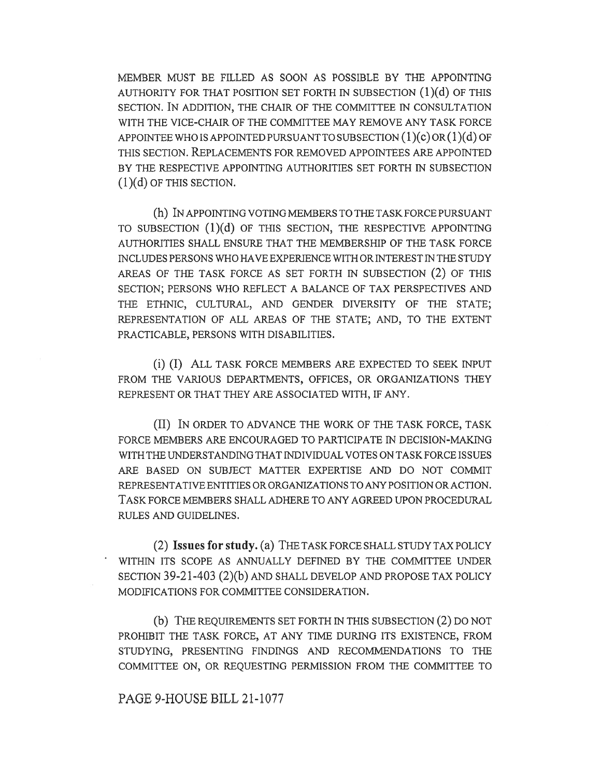MEMBER MUST BE FILLED AS SOON AS POSSIBLE BY THE APPOINTING AUTHORITY FOR THAT POSITION SET FORTH IN SUBSECTION  $(1)(d)$  OF THIS SECTION. IN ADDITION, THE CHAIR OF THE COMMITTEE IN CONSULTATION WITH THE VICE-CHAIR OF THE COMMITTEE MAY REMOVE ANY TASK FORCE APPOINTEE WHO IS APPOINTED PURSUANT TO SUBSECTION  $(1)(c)$  OR  $(1)(d)$  OF THIS SECTION. REPLACEMENTS FOR REMOVED APPOINTEES ARE APPOINTED BY THE RESPECTIVE APPOINTING AUTHORITIES SET FORTH IN SUBSECTION  $(1)(d)$  OF THIS SECTION.

(h) IN APPOINTING VOTING MEMBERS TO THE TASK FORCE PURSUANT TO SUBSECTION (1)(d) OF THIS SECTION, THE RESPECTIVE APPOINTING AUTHORITIES SHALL ENSURE THAT THE MEMBERSHIP OF THE TASK FORCE INCLUDES PERSONS WHO HAVE EXPERIENCE WITH OR INTEREST IN THE STUDY AREAS OF THE TASK FORCE AS SET FORTH IN SUBSECTION (2) OF THIS SECTION; PERSONS WHO REFLECT A BALANCE OF TAX PERSPECTIVES AND THE ETHNIC, CULTURAL, AND GENDER DIVERSITY OF THE STATE; REPRESENTATION OF ALL AREAS OF THE STATE; AND, TO THE EXTENT PRACTICABLE, PERSONS WITH DISABILITIES.

(i) (I) ALL TASK FORCE MEMBERS ARE EXPECTED TO SEEK INPUT FROM THE VARIOUS DEPARTMENTS, OFFICES, OR ORGANIZATIONS THEY REPRESENT OR THAT THEY ARE ASSOCIATED WITH, IF ANY.

(II) IN ORDER TO ADVANCE THE WORK OF THE TASK FORCE, TASK FORCE MEMBERS ARE ENCOURAGED TO PARTICIPATE IN DECISION-MAKING WITH THE UNDERSTANDING THAT INDIVIDUAL VOTES ON TASK FORCE ISSUES ARE BASED ON SUBJECT MATTER EXPERTISE AND DO NOT COMMIT REPRESENTATIVE ENTITIES OR ORGANIZATIONS TO ANY POSITION OR ACTION. TASK FORCE MEMBERS SHALL ADHERE TO ANY AGREED UPON PROCEDURAL RULES AND GUIDELINES.

(2) Issues for study. (a) THE TASK FORCE SHALL STUDY TAX POLICY ' WITHIN ITS SCOPE AS ANNUALLY DEFINED BY THE COMMITTEE UNDER SECTION 39-21-403 (2)(b) AND SHALL DEVELOP AND PROPOSE TAX POLICY MODIFICATIONS FOR COMMITTEE CONSIDERATION.

(b) THE REQUIREMENTS SET FORTH IN THIS SUBSECTION (2) DO NOT PROHIBIT THE TASK FORCE, AT ANY TIME DURING ITS EXISTENCE, FROM STUDYING, PRESENTING FINDINGS AND RECOMMENDATIONS TO THE COMMITTEE ON, OR REQUESTING PERMISSION FROM THE COMMITTEE TO

## PAGE 9-HOUSE BILL 21-1077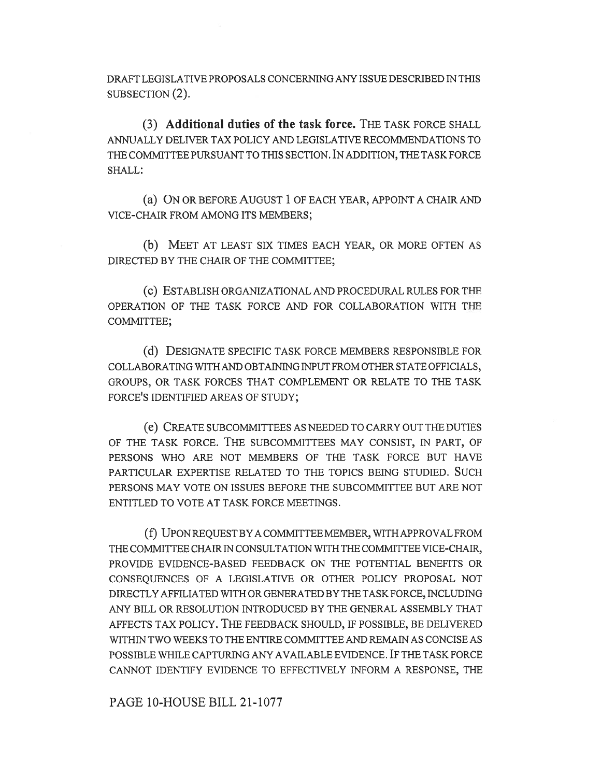DRAFT LEGISLATIVE PROPOSALS CONCERNING ANY ISSUE DESCRIBED IN THIS SUBSECTION (2).

(3) Additional duties of the task force. THE TASK FORCE SHALL ANNUALLY DELIVER TAX POLICY AND LEGISLATIVE RECOMMENDATIONS TO THE COMMITTEE PURSUANT TO THIS SECTION. IN ADDITION, THE TASK FORCE SHALL:

(a) ON OR BEFORE AUGUST 1 OF EACH YEAR, APPOINT A CHAIR AND VICE-CHAIR FROM AMONG ITS MEMBERS;

(b) MEET AT LEAST SIX TIMES EACH YEAR, OR MORE OFTEN AS DIRECTED BY THE CHAIR OF THE COMMITTEE;

(c) ESTABLISH ORGANIZATIONAL AND PROCEDURAL RULES FOR THE OPERATION OF THE TASK FORCE AND FOR COLLABORATION WITH THE COMMITTEE;

(d) DESIGNATE SPECIFIC TASK FORCE MEMBERS RESPONSIBLE FOR COLLABORATING WITH AND OBTAINING INPUT FROM OTHER STATE OFFICIALS, GROUPS, OR TASK FORCES THAT COMPLEMENT OR RELATE TO THE TASK FORCE'S IDENTIFIED AREAS OF STUDY;

(e) CREATE SUBCOMMITTEES AS NEEDED TO CARRY OUT THE DUTIES OF THE TASK FORCE. THE SUBCOMMITTEES MAY CONSIST, IN PART, OF PERSONS WHO ARE NOT MEMBERS OF THE TASK FORCE BUT HAVE PARTICULAR EXPERTISE RELATED TO THE TOPICS BEING STUDIED. SUCH PERSONS MAY VOTE ON ISSUES BEFORE THE SUBCOMMITTEE BUT ARE NOT ENTITLED TO VOTE AT TASK FORCE MEETINGS.

(f) UPON REQUEST BY A COMMITTEE MEMBER, WITH APPROVAL FROM THE COMMITTEE CHAIR IN CONSULTATION WITH THE COMMITTEE VICE-CHAIR, PROVIDE EVIDENCE-BASED FEEDBACK ON THE POTENTIAL BENEFITS OR CONSEQUENCES OF A LEGISLATIVE OR OTHER POLICY PROPOSAL NOT DIRECTLY AFFILIATED WITH OR GENERATED BY THE TASK FORCE, INCLUDING ANY BILL OR RESOLUTION INTRODUCED BY THE GENERAL ASSEMBLY THAT AFFECTS TAX POLICY. THE FEEDBACK SHOULD, IF POSSIBLE, BE DELIVERED WITHIN TWO WEEKS TO THE ENTIRE COMMITTEE AND REMAIN AS CONCISE AS POSSIBLE WHILE CAPTURING ANY AVAILABLE EVIDENCE. IF THE TASK FORCE CANNOT IDENTIFY EVIDENCE TO EFFECTIVELY INFORM A RESPONSE, THE

PAGE 10-HOUSE BILL 21-1077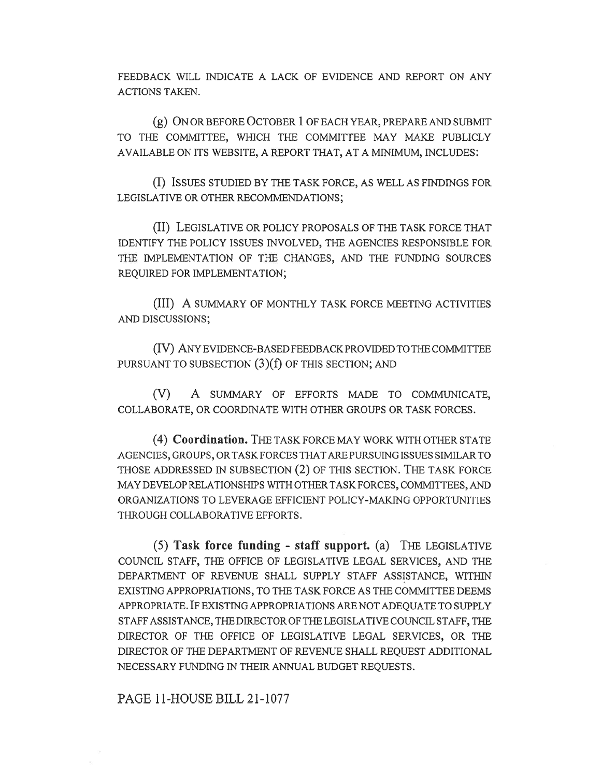FEEDBACK WILL INDICATE A LACK OF EVIDENCE AND REPORT ON ANY ACTIONS TAKEN.

(g) ON OR BEFORE OCTOBER 1 OF EACH YEAR, PREPARE AND SUBMIT TO THE COMMITTEE, WHICH THE COMMITTEE MAY MAKE PUBLICLY AVAILABLE ON ITS WEBSITE, A REPORT THAT, AT A MINIMUM, INCLUDES:

(I) ISSUES STUDIED BY THE TASK FORCE, AS WELL AS FINDINGS FOR LEGISLATIVE OR OTHER RECOMMENDATIONS;

(II) LEGISLATIVE OR POLICY PROPOSALS OF THE TASK FORCE THAT IDENTIFY THE POLICY ISSUES INVOLVED, THE AGENCIES RESPONSIBLE FOR THE IMPLEMENTATION OF THE CHANGES, AND THE FUNDING SOURCES REQUIRED FOR IMPLEMENTATION;

(III) A SUMMARY OF MONTHLY TASK FORCE MEETING ACTIVITIES AND DISCUSSIONS;

(IV) ANY EVIDENCE-BASED FEEDBACK PROVIDED TO THE COMMITTEE PURSUANT TO SUBSECTION (3)(f) OF THIS SECTION; AND

(V) A SUMMARY OF EFFORTS MADE TO COMMUNICATE, COLLABORATE, OR COORDINATE WITH OTHER GROUPS OR TASK FORCES.

(4) Coordination. THE TASK FORCE MAY WORK WITH OTHER STATE AGENCIES, GROUPS, OR TASK FORCES THAT ARE PURSUING ISSUES SIMILAR TO THOSE ADDRESSED IN SUBSECTION (2) OF THIS SECTION. THE TASK FORCE MAY DEVELOP RELATIONSHIPS WITH OTHER TASK FORCES, COMMITTEES, AND ORGANIZATIONS TO LEVERAGE EFFICIENT POLICY-MAKING OPPORTUNITIES THROUGH COLLABORATIVE EFFORTS.

(5) Task force funding - staff support. (a) THE LEGISLATIVE COUNCIL STAFF, THE OFFICE OF LEGISLATIVE LEGAL SERVICES, AND THE DEPARTMENT OF REVENUE SHALL SUPPLY STAFF ASSISTANCE, WITHIN EXISTING APPROPRIATIONS, TO THE TASK FORCE AS THE COMMITTEE DEEMS APPROPRIATE. IF EXISTING APPROPRIATIONS ARE NOT ADEQUATE TO SUPPLY STAFF ASSISTANCE, THE DIRECTOR OF THE LEGISLATIVE COUNCIL STAFF, THE DIRECTOR OF THE OFFICE OF LEGISLATIVE LEGAL SERVICES, OR THE DIRECTOR OF THE DEPARTMENT OF REVENUE SHALL REQUEST ADDITIONAL NECESSARY FUNDING IN THEIR ANNUAL BUDGET REQUESTS.

PAGE 11-HOUSE BILL 21-1077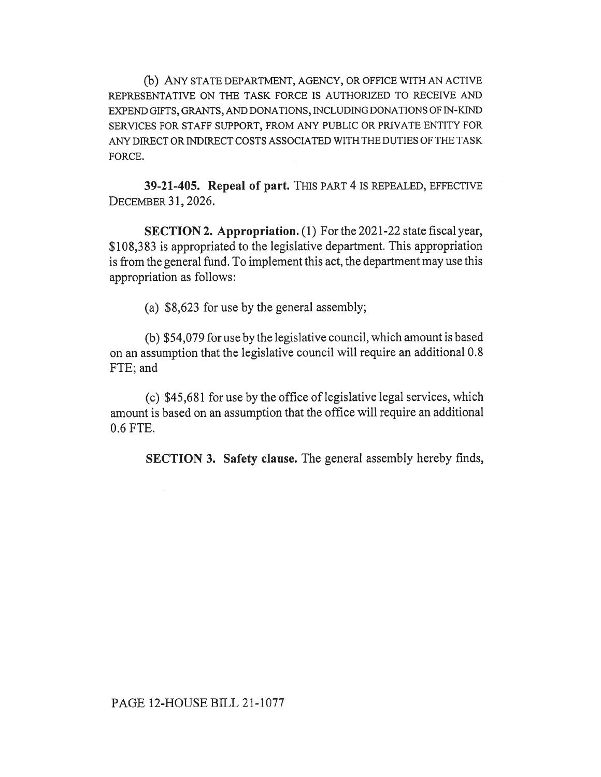(b) ANY STATE DEPARTMENT, AGENCY, OR OFFICE WITH AN ACTIVE REPRESENTATIVE ON THE TASK FORCE IS AUTHORIZED TO RECEIVE AND EXPEND GIFTS, GRANTS, AND DONATIONS, INCLUDING DONATIONS OF IN-KIND SERVICES FOR STAFF SUPPORT, FROM ANY PUBLIC OR PRIVATE ENTITY FOR ANY DIRECT OR INDIRECT COSTS ASSOCIATED WITH THE DUTIES OF THE TASK FORCE.

39-21-405. Repeal of part. THIS PART 4 IS REPEALED, EFFECTIVE DECEMBER 31, 2026.

SECTION 2. Appropriation. (1) For the 2021-22 state fiscal year, \$108,383 is appropriated to the legislative department. This appropriation is from the general fund. To implement this act, the department may use this appropriation as follows:

(a) \$8,623 for use by the general assembly;

(b) \$54,079 for use by the legislative council, which amount is based on an assumption that the legislative council will require an additional 0.8 FTE; and

(c) \$45,681 for use by the office of legislative legal services, which amount is based on an assumption that the office will require an additional 0.6 FTE.

SECTION 3. Safety clause. The general assembly hereby finds,